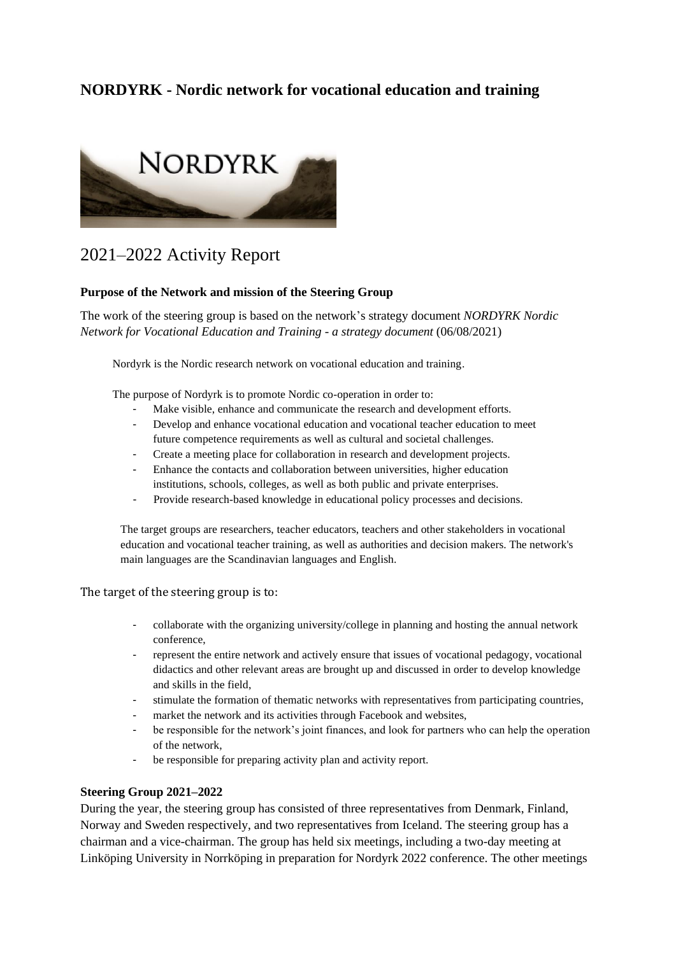# **NORDYRK - Nordic network for vocational education and training**



# 2021–2022 Activity Report

## **Purpose of the Network and mission of the Steering Group**

The work of the steering group is based on the network's strategy document *NORDYRK Nordic Network for Vocational Education and Training - a strategy document* (06/08/2021)

Nordyrk is the Nordic research network on vocational education and training.

The purpose of Nordyrk is to promote Nordic co-operation in order to:

- Make visible, enhance and communicate the research and development efforts.
- Develop and enhance vocational education and vocational teacher education to meet future competence requirements as well as cultural and societal challenges.
- Create a meeting place for collaboration in research and development projects.
- Enhance the contacts and collaboration between universities, higher education institutions, schools, colleges, as well as both public and private enterprises.
- Provide research-based knowledge in educational policy processes and decisions.

The target groups are researchers, teacher educators, teachers and other stakeholders in vocational education and vocational teacher training, as well as authorities and decision makers. The network's main languages are the Scandinavian languages and English.

The target of the steering group is to:

- collaborate with the organizing university/college in planning and hosting the annual network conference,
- represent the entire network and actively ensure that issues of vocational pedagogy, vocational didactics and other relevant areas are brought up and discussed in order to develop knowledge and skills in the field,
- stimulate the formation of thematic networks with representatives from participating countries,
- market the network and its activities through Facebook and websites,
- be responsible for the network's joint finances, and look for partners who can help the operation of the network,
- be responsible for preparing activity plan and activity report.

#### **Steering Group 2021–2022**

During the year, the steering group has consisted of three representatives from Denmark, Finland, Norway and Sweden respectively, and two representatives from Iceland. The steering group has a chairman and a vice-chairman. The group has held six meetings, including a two-day meeting at Linköping University in Norrköping in preparation for Nordyrk 2022 conference. The other meetings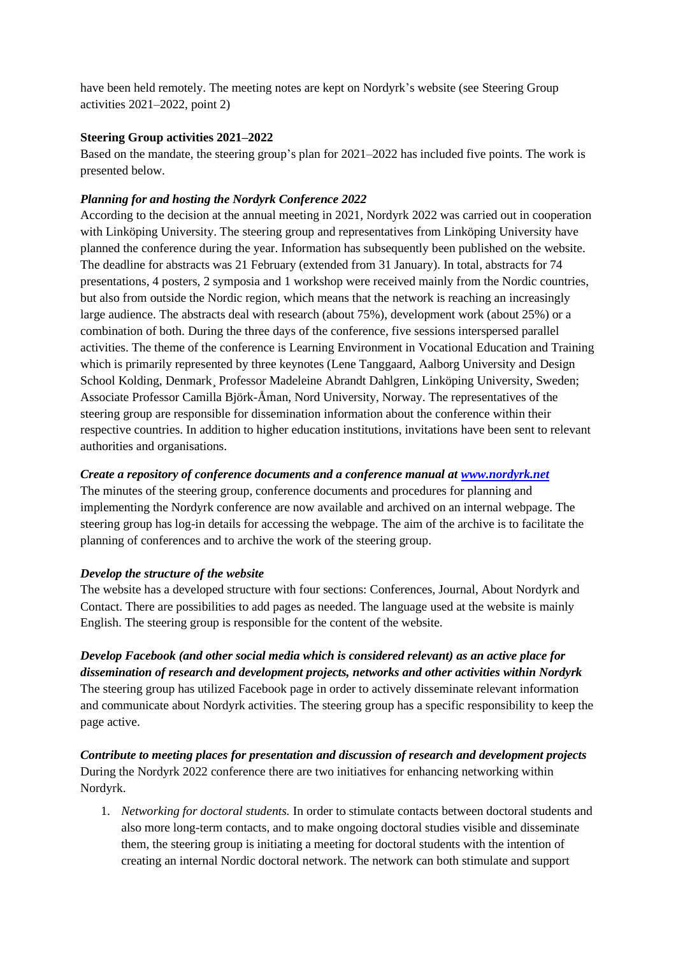have been held remotely. The meeting notes are kept on Nordyrk's website (see Steering Group activities 2021–2022, point 2)

# **Steering Group activities 2021–2022**

Based on the mandate, the steering group's plan for 2021–2022 has included five points. The work is presented below.

#### *Planning for and hosting the Nordyrk Conference 2022*

According to the decision at the annual meeting in 2021, Nordyrk 2022 was carried out in cooperation with Linköping University. The steering group and representatives from Linköping University have planned the conference during the year. Information has subsequently been published on the website. The deadline for abstracts was 21 February (extended from 31 January). In total, abstracts for 74 presentations, 4 posters, 2 symposia and 1 workshop were received mainly from the Nordic countries, but also from outside the Nordic region, which means that the network is reaching an increasingly large audience. The abstracts deal with research (about 75%), development work (about 25%) or a combination of both. During the three days of the conference, five sessions interspersed parallel activities. The theme of the conference is Learning Environment in Vocational Education and Training which is primarily represented by three keynotes (Lene Tanggaard, Aalborg University and Design School Kolding, Denmark¸ Professor Madeleine Abrandt Dahlgren, Linköping University, Sweden; Associate Professor Camilla Björk-Åman, Nord University, Norway. The representatives of the steering group are responsible for dissemination information about the conference within their respective countries. In addition to higher education institutions, invitations have been sent to relevant authorities and organisations.

## *Create a repository of conference documents and a conference manual at [www.nordyrk.net](http://www.nordyrk.net/)*

The minutes of the steering group, conference documents and procedures for planning and implementing the Nordyrk conference are now available and archived on an internal webpage. The steering group has log-in details for accessing the webpage. The aim of the archive is to facilitate the planning of conferences and to archive the work of the steering group.

#### *Develop the structure of the website*

The website has a developed structure with four sections: Conferences, Journal, About Nordyrk and Contact. There are possibilities to add pages as needed. The language used at the website is mainly English. The steering group is responsible for the content of the website.

*Develop Facebook (and other social media which is considered relevant) as an active place for dissemination of research and development projects, networks and other activities within Nordyrk* The steering group has utilized Facebook page in order to actively disseminate relevant information and communicate about Nordyrk activities. The steering group has a specific responsibility to keep the page active.

*Contribute to meeting places for presentation and discussion of research and development projects* During the Nordyrk 2022 conference there are two initiatives for enhancing networking within Nordyrk.

1. *Networking for doctoral students.* In order to stimulate contacts between doctoral students and also more long-term contacts, and to make ongoing doctoral studies visible and disseminate them, the steering group is initiating a meeting for doctoral students with the intention of creating an internal Nordic doctoral network. The network can both stimulate and support